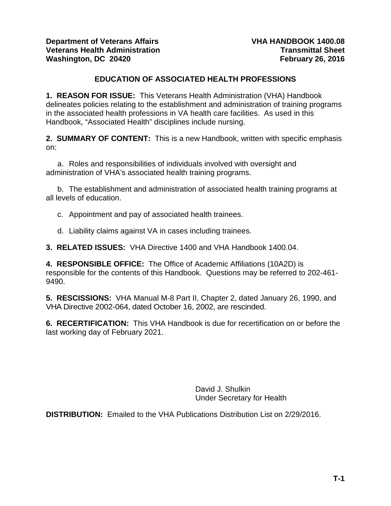## **EDUCATION OF ASSOCIATED HEALTH PROFESSIONS**

**1. REASON FOR ISSUE:** This Veterans Health Administration (VHA) Handbook delineates policies relating to the establishment and administration of training programs in the associated health professions in VA health care facilities. As used in this Handbook, "Associated Health" disciplines include nursing.

**2. SUMMARY OF CONTENT:** This is a new Handbook, written with specific emphasis on:

a. Roles and responsibilities of individuals involved with oversight and administration of VHA's associated health training programs.

b. The establishment and administration of associated health training programs at all levels of education.

c. Appointment and pay of associated health trainees.

d. Liability claims against VA in cases including trainees.

**3. RELATED ISSUES:** VHA Directive 1400 and VHA Handbook 1400.04.

**4. RESPONSIBLE OFFICE:** The Office of Academic Affiliations (10A2D) is responsible for the contents of this Handbook. Questions may be referred to 202-461- 9490.

**5. RESCISSIONS:** VHA Manual M-8 Part II, Chapter 2, dated January 26, 1990, and VHA Directive 2002-064, dated October 16, 2002, are rescinded.

**6. RECERTIFICATION:** This VHA Handbook is due for recertification on or before the last working day of February 2021.

> David J. Shulkin Under Secretary for Health

**DISTRIBUTION:** Emailed to the VHA Publications Distribution List on 2/29/2016.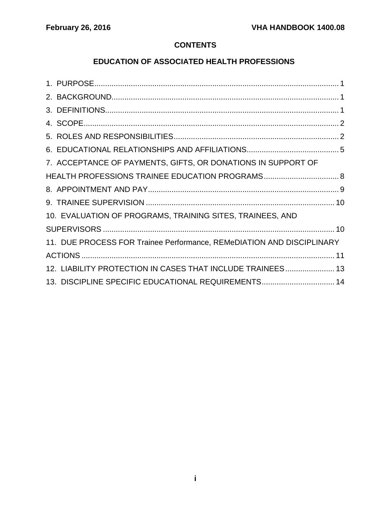# **CONTENTS**

# **EDUCATION OF ASSOCIATED HEALTH PROFESSIONS**

| 7. ACCEPTANCE OF PAYMENTS, GIFTS, OR DONATIONS IN SUPPORT OF          |  |
|-----------------------------------------------------------------------|--|
|                                                                       |  |
|                                                                       |  |
|                                                                       |  |
| 10. EVALUATION OF PROGRAMS, TRAINING SITES, TRAINEES, AND             |  |
|                                                                       |  |
| 11. DUE PROCESS FOR Trainee Performance, REMeDIATION AND DISCIPLINARY |  |
|                                                                       |  |
| 12. LIABILITY PROTECTION IN CASES THAT INCLUDE TRAINEES 13            |  |
| 13. DISCIPLINE SPECIFIC EDUCATIONAL REQUIREMENTS 14                   |  |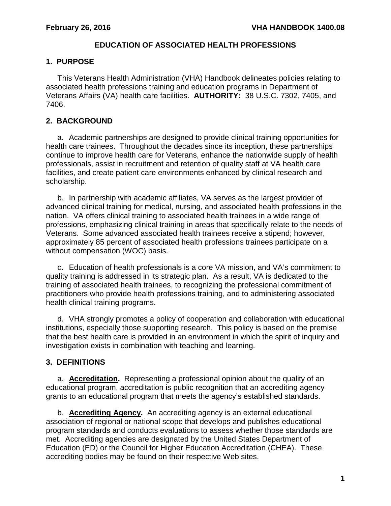### **EDUCATION OF ASSOCIATED HEALTH PROFESSIONS**

### <span id="page-2-0"></span>**1. PURPOSE**

This Veterans Health Administration (VHA) Handbook delineates policies relating to associated health professions training and education programs in Department of Veterans Affairs (VA) health care facilities. **AUTHORITY:** 38 U.S.C. 7302, 7405, and 7406.

## <span id="page-2-1"></span>**2. BACKGROUND**

a. Academic partnerships are designed to provide clinical training opportunities for health care trainees. Throughout the decades since its inception, these partnerships continue to improve health care for Veterans, enhance the nationwide supply of health professionals, assist in recruitment and retention of quality staff at VA health care facilities, and create patient care environments enhanced by clinical research and scholarship.

b. In partnership with academic affiliates, VA serves as the largest provider of advanced clinical training for medical, nursing, and associated health professions in the nation. VA offers clinical training to associated health trainees in a wide range of professions, emphasizing clinical training in areas that specifically relate to the needs of Veterans. Some advanced associated health trainees receive a stipend; however, approximately 85 percent of associated health professions trainees participate on a without compensation (WOC) basis.

c. Education of health professionals is a core VA mission, and VA's commitment to quality training is addressed in its strategic plan. As a result, VA is dedicated to the training of associated health trainees, to recognizing the professional commitment of practitioners who provide health professions training, and to administering associated health clinical training programs.

d. VHA strongly promotes a policy of cooperation and collaboration with educational institutions, especially those supporting research. This policy is based on the premise that the best health care is provided in an environment in which the spirit of inquiry and investigation exists in combination with teaching and learning.

## <span id="page-2-2"></span>**3. DEFINITIONS**

a. **Accreditation.** Representing a professional opinion about the quality of an educational program, accreditation is public recognition that an accrediting agency grants to an educational program that meets the agency's established standards.

b. **Accrediting Agency.** An accrediting agency is an external educational association of regional or national scope that develops and publishes educational program standards and conducts evaluations to assess whether those standards are met. Accrediting agencies are designated by the United States Department of Education (ED) or the Council for Higher Education Accreditation (CHEA). These accrediting bodies may be found on their respective Web sites.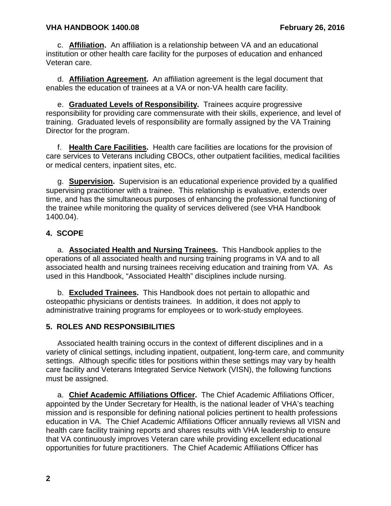c. **Affiliation.** An affiliation is a relationship between VA and an educational institution or other health care facility for the purposes of education and enhanced Veteran care.

d. **Affiliation Agreement.** An affiliation agreement is the legal document that enables the education of trainees at a VA or non-VA health care facility.

e. **Graduated Levels of Responsibility.** Trainees acquire progressive responsibility for providing care commensurate with their skills, experience, and level of training. Graduated levels of responsibility are formally assigned by the VA Training Director for the program.

f. **Health Care Facilities.** Health care facilities are locations for the provision of care services to Veterans including CBOCs, other outpatient facilities, medical facilities or medical centers, inpatient sites, etc.

g. **Supervision.** Supervision is an educational experience provided by a qualified supervising practitioner with a trainee. This relationship is evaluative, extends over time, and has the simultaneous purposes of enhancing the professional functioning of the trainee while monitoring the quality of services delivered (see VHA Handbook 1400.04).

## <span id="page-3-0"></span>**4. SCOPE**

a. **Associated Health and Nursing Trainees.** This Handbook applies to the operations of all associated health and nursing training programs in VA and to all associated health and nursing trainees receiving education and training from VA. As used in this Handbook, "Associated Health" disciplines include nursing.

b. **Excluded Trainees.** This Handbook does not pertain to allopathic and osteopathic physicians or dentists trainees. In addition, it does not apply to administrative training programs for employees or to work-study employees.

## <span id="page-3-1"></span>**5. ROLES AND RESPONSIBILITIES**

Associated health training occurs in the context of different disciplines and in a variety of clinical settings, including inpatient, outpatient, long-term care, and community settings. Although specific titles for positions within these settings may vary by health care facility and Veterans Integrated Service Network (VISN), the following functions must be assigned.

a. **Chief Academic Affiliations Officer.** The Chief Academic Affiliations Officer, appointed by the Under Secretary for Health, is the national leader of VHA's teaching mission and is responsible for defining national policies pertinent to health professions education in VA. The Chief Academic Affiliations Officer annually reviews all VISN and health care facility training reports and shares results with VHA leadership to ensure that VA continuously improves Veteran care while providing excellent educational opportunities for future practitioners. The Chief Academic Affiliations Officer has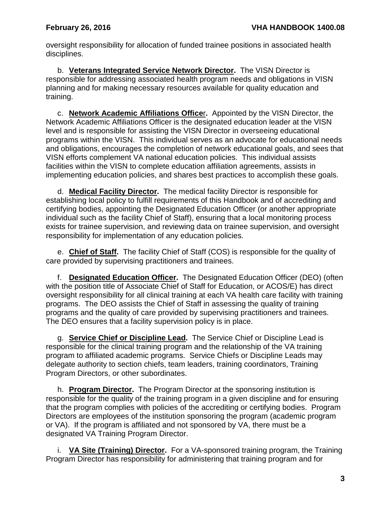oversight responsibility for allocation of funded trainee positions in associated health disciplines.

b. **Veterans Integrated Service Network Director.** The VISN Director is responsible for addressing associated health program needs and obligations in VISN planning and for making necessary resources available for quality education and training.

c. **Network Academic Affiliations Office**r**.** Appointed by the VISN Director, the Network Academic Affiliations Officer is the designated education leader at the VISN level and is responsible for assisting the VISN Director in overseeing educational programs within the VISN. This individual serves as an advocate for educational needs and obligations, encourages the completion of network educational goals, and sees that VISN efforts complement VA national education policies. This individual assists facilities within the VISN to complete education affiliation agreements, assists in implementing education policies, and shares best practices to accomplish these goals.

d. **Medical Facility Director.** The medical facility Director is responsible for establishing local policy to fulfill requirements of this Handbook and of accrediting and certifying bodies, appointing the Designated Education Officer (or another appropriate individual such as the facility Chief of Staff), ensuring that a local monitoring process exists for trainee supervision, and reviewing data on trainee supervision, and oversight responsibility for implementation of any education policies.

e. **Chief of Staff.** The facility Chief of Staff (COS) is responsible for the quality of care provided by supervising practitioners and trainees.

f. **Designated Education Officer.** The Designated Education Officer (DEO) (often with the position title of Associate Chief of Staff for Education, or ACOS/E) has direct oversight responsibility for all clinical training at each VA health care facility with training programs. The DEO assists the Chief of Staff in assessing the quality of training programs and the quality of care provided by supervising practitioners and trainees. The DEO ensures that a facility supervision policy is in place.

g. **Service Chief or Discipline Lead.** The Service Chief or Discipline Lead is responsible for the clinical training program and the relationship of the VA training program to affiliated academic programs. Service Chiefs or Discipline Leads may delegate authority to section chiefs, team leaders, training coordinators, Training Program Directors, or other subordinates.

h. **Program Director.** The Program Director at the sponsoring institution is responsible for the quality of the training program in a given discipline and for ensuring that the program complies with policies of the accrediting or certifying bodies. Program Directors are employees of the institution sponsoring the program (academic program or VA). If the program is affiliated and not sponsored by VA, there must be a designated VA Training Program Director.

i. **VA Site (Training) Director.** For a VA-sponsored training program, the Training Program Director has responsibility for administering that training program and for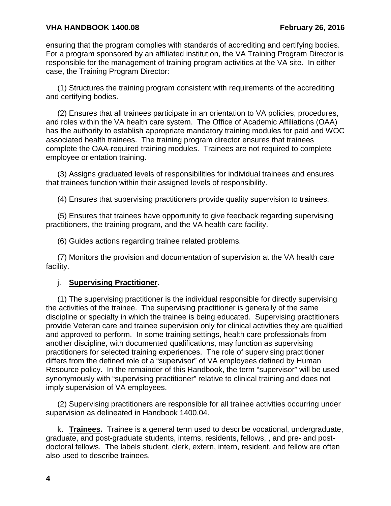ensuring that the program complies with standards of accrediting and certifying bodies. For a program sponsored by an affiliated institution, the VA Training Program Director is responsible for the management of training program activities at the VA site. In either case, the Training Program Director:

(1) Structures the training program consistent with requirements of the accrediting and certifying bodies.

(2) Ensures that all trainees participate in an orientation to VA policies, procedures, and roles within the VA health care system. The Office of Academic Affiliations (OAA) has the authority to establish appropriate mandatory training modules for paid and WOC associated health trainees. The training program director ensures that trainees complete the OAA-required training modules. Trainees are not required to complete employee orientation training.

(3) Assigns graduated levels of responsibilities for individual trainees and ensures that trainees function within their assigned levels of responsibility.

(4) Ensures that supervising practitioners provide quality supervision to trainees.

(5) Ensures that trainees have opportunity to give feedback regarding supervising practitioners, the training program, and the VA health care facility.

(6) Guides actions regarding trainee related problems.

(7) Monitors the provision and documentation of supervision at the VA health care facility.

#### j. **Supervising Practitioner.**

(1) The supervising practitioner is the individual responsible for directly supervising the activities of the trainee. The supervising practitioner is generally of the same discipline or specialty in which the trainee is being educated. Supervising practitioners provide Veteran care and trainee supervision only for clinical activities they are qualified and approved to perform. In some training settings, health care professionals from another discipline, with documented qualifications, may function as supervising practitioners for selected training experiences. The role of supervising practitioner differs from the defined role of a "supervisor" of VA employees defined by Human Resource policy. In the remainder of this Handbook, the term "supervisor" will be used synonymously with "supervising practitioner" relative to clinical training and does not imply supervision of VA employees.

(2) Supervising practitioners are responsible for all trainee activities occurring under supervision as delineated in Handbook 1400.04.

k. **Trainees.** Trainee is a general term used to describe vocational, undergraduate, graduate, and post-graduate students, interns, residents, fellows, , and pre- and postdoctoral fellows. The labels student, clerk, extern, intern, resident, and fellow are often also used to describe trainees.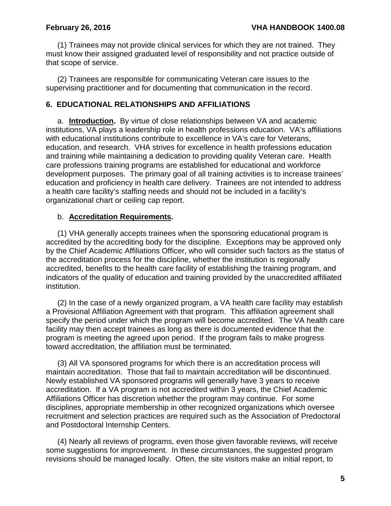(1) Trainees may not provide clinical services for which they are not trained. They must know their assigned graduated level of responsibility and not practice outside of that scope of service.

(2) Trainees are responsible for communicating Veteran care issues to the supervising practitioner and for documenting that communication in the record.

#### <span id="page-6-0"></span>**6. EDUCATIONAL RELATIONSHIPS AND AFFILIATIONS**

a. **Introduction.** By virtue of close relationships between VA and academic institutions, VA plays a leadership role in health professions education. VA's affiliations with educational institutions contribute to excellence in VA's care for Veterans, education, and research. VHA strives for excellence in health professions education and training while maintaining a dedication to providing quality Veteran care. Health care professions training programs are established for educational and workforce development purposes. The primary goal of all training activities is to increase trainees' education and proficiency in health care delivery. Trainees are not intended to address a health care facility's staffing needs and should not be included in a facility's organizational chart or ceiling cap report.

#### b. **Accreditation Requirements.**

(1) VHA generally accepts trainees when the sponsoring educational program is accredited by the accrediting body for the discipline. Exceptions may be approved only by the Chief Academic Affiliations Officer, who will consider such factors as the status of the accreditation process for the discipline, whether the institution is regionally accredited, benefits to the health care facility of establishing the training program, and indicators of the quality of education and training provided by the unaccredited affiliated institution.

(2) In the case of a newly organized program, a VA health care facility may establish a Provisional Affiliation Agreement with that program. This affiliation agreement shall specify the period under which the program will become accredited. The VA health care facility may then accept trainees as long as there is documented evidence that the program is meeting the agreed upon period. If the program fails to make progress toward accreditation, the affiliation must be terminated.

(3) All VA sponsored programs for which there is an accreditation process will maintain accreditation. Those that fail to maintain accreditation will be discontinued. Newly established VA sponsored programs will generally have 3 years to receive accreditation. If a VA program is not accredited within 3 years, the Chief Academic Affiliations Officer has discretion whether the program may continue. For some disciplines, appropriate membership in other recognized organizations which oversee recruitment and selection practices are required such as the Association of Predoctoral and Postdoctoral Internship Centers.

(4) Nearly all reviews of programs, even those given favorable reviews, will receive some suggestions for improvement. In these circumstances, the suggested program revisions should be managed locally. Often, the site visitors make an initial report, to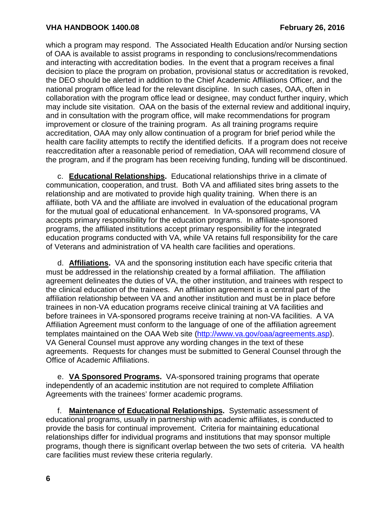which a program may respond. The Associated Health Education and/or Nursing section of OAA is available to assist programs in responding to conclusions/recommendations and interacting with accreditation bodies. In the event that a program receives a final decision to place the program on probation, provisional status or accreditation is revoked, the DEO should be alerted in addition to the Chief Academic Affiliations Officer, and the national program office lead for the relevant discipline. In such cases, OAA, often in collaboration with the program office lead or designee, may conduct further inquiry, which may include site visitation. OAA on the basis of the external review and additional inquiry, and in consultation with the program office, will make recommendations for program improvement or closure of the training program. As all training programs require accreditation, OAA may only allow continuation of a program for brief period while the health care facility attempts to rectify the identified deficits. If a program does not receive reaccreditation after a reasonable period of remediation, OAA will recommend closure of the program, and if the program has been receiving funding, funding will be discontinued.

c. **Educational Relationships.** Educational relationships thrive in a climate of communication, cooperation, and trust. Both VA and affiliated sites bring assets to the relationship and are motivated to provide high quality training. When there is an affiliate, both VA and the affiliate are involved in evaluation of the educational program for the mutual goal of educational enhancement. In VA-sponsored programs, VA accepts primary responsibility for the education programs. In affiliate-sponsored programs, the affiliated institutions accept primary responsibility for the integrated education programs conducted with VA, while VA retains full responsibility for the care of Veterans and administration of VA health care facilities and operations.

d. **Affiliations.** VA and the sponsoring institution each have specific criteria that must be addressed in the relationship created by a formal affiliation. The affiliation agreement delineates the duties of VA, the other institution, and trainees with respect to the clinical education of the trainees.An affiliation agreement is a central part of the affiliation relationship between VA and another institution and must be in place before trainees in non-VA education programs receive clinical training at VA facilities and before trainees in VA-sponsored programs receive training at non-VA facilities. A VA Affiliation Agreement must conform to the language of one of the affiliation agreement templates maintained on the OAA Web site [\(http://www.va.gov/oaa/agreements.asp\)](http://www.va.gov/oaa/agreements.asp). VA General Counsel must approve any wording changes in the text of these agreements. Requests for changes must be submitted to General Counsel through the Office of Academic Affiliations.

e. **VA Sponsored Programs.** VA-sponsored training programs that operate independently of an academic institution are not required to complete Affiliation Agreements with the trainees' former academic programs.

f. **Maintenance of Educational Relationships.** Systematic assessment of educational programs, usually in partnership with academic affiliates, is conducted to provide the basis for continual improvement. Criteria for maintaining educational relationships differ for individual programs and institutions that may sponsor multiple programs, though there is significant overlap between the two sets of criteria. VA health care facilities must review these criteria regularly.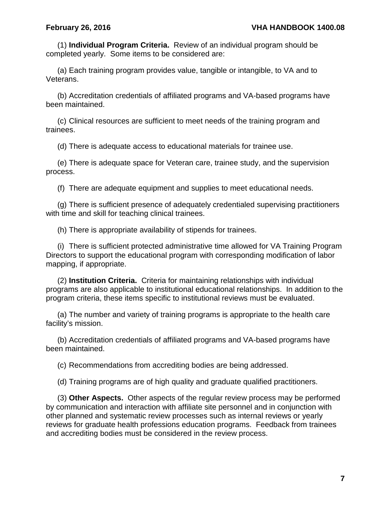(1) **Individual Program Criteria.** Review of an individual program should be completed yearly. Some items to be considered are:

(a) Each training program provides value, tangible or intangible, to VA and to Veterans.

(b) Accreditation credentials of affiliated programs and VA-based programs have been maintained.

(c) Clinical resources are sufficient to meet needs of the training program and trainees.

(d) There is adequate access to educational materials for trainee use.

(e) There is adequate space for Veteran care, trainee study, and the supervision process.

(f) There are adequate equipment and supplies to meet educational needs.

(g) There is sufficient presence of adequately credentialed supervising practitioners with time and skill for teaching clinical trainees.

(h) There is appropriate availability of stipends for trainees.

(i) There is sufficient protected administrative time allowed for VA Training Program Directors to support the educational program with corresponding modification of labor mapping, if appropriate.

(2) **Institution Criteria.** Criteria for maintaining relationships with individual programs are also applicable to institutional educational relationships. In addition to the program criteria, these items specific to institutional reviews must be evaluated.

(a) The number and variety of training programs is appropriate to the health care facility's mission.

(b) Accreditation credentials of affiliated programs and VA-based programs have been maintained.

(c) Recommendations from accrediting bodies are being addressed.

(d) Training programs are of high quality and graduate qualified practitioners.

(3) **Other Aspects.** Other aspects of the regular review process may be performed by communication and interaction with affiliate site personnel and in conjunction with other planned and systematic review processes such as internal reviews or yearly reviews for graduate health professions education programs. Feedback from trainees and accrediting bodies must be considered in the review process.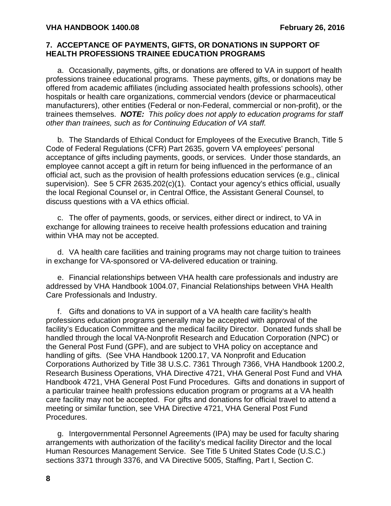#### <span id="page-9-0"></span>**7. ACCEPTANCE OF PAYMENTS, GIFTS, OR DONATIONS IN SUPPORT OF HEALTH PROFESSIONS TRAINEE EDUCATION PROGRAMS**

a. Occasionally, payments, gifts, or donations are offered to VA in support of health professions trainee educational programs. These payments, gifts, or donations may be offered from academic affiliates (including associated health professions schools), other hospitals or health care organizations, commercial vendors (device or pharmaceutical manufacturers), other entities (Federal or non-Federal, commercial or non-profit), or the trainees themselves. *NOTE: This policy does not apply to education programs for staff other than trainees, such as for Continuing Education of VA staff.*

b. The Standards of Ethical Conduct for Employees of the Executive Branch, Title 5 Code of Federal Regulations (CFR) Part 2635, govern VA employees' personal acceptance of gifts including payments, goods, or services. Under those standards, an employee cannot accept a gift in return for being influenced in the performance of an official act, such as the provision of health professions education services (e.g., clinical supervision). See 5 CFR 2635.202(c)(1). Contact your agency's ethics official, usually the local Regional Counsel or, in Central Office, the Assistant General Counsel, to discuss questions with a VA ethics official.

c. The offer of payments, goods, or services, either direct or indirect, to VA in exchange for allowing trainees to receive health professions education and training within VHA may not be accepted.

d. VA health care facilities and training programs may not charge tuition to trainees in exchange for VA-sponsored or VA-delivered education or training.

e. Financial relationships between VHA health care professionals and industry are addressed by VHA Handbook 1004.07, Financial Relationships between VHA Health Care Professionals and Industry.

f. Gifts and donations to VA in support of a VA health care facility's health professions education programs generally may be accepted with approval of the facility's Education Committee and the medical facility Director. Donated funds shall be handled through the local VA-Nonprofit Research and Education Corporation (NPC) or the General Post Fund (GPF), and are subject to VHA policy on acceptance and handling of gifts. (See VHA Handbook 1200.17, VA Nonprofit and Education Corporations Authorized by Title 38 U.S.C. 7361 Through 7366, VHA Handbook 1200.2, Research Business Operations, VHA Directive 4721, VHA General Post Fund and VHA Handbook 4721, VHA General Post Fund Procedures. Gifts and donations in support of a particular trainee health professions education program or programs at a VA health care facility may not be accepted. For gifts and donations for official travel to attend a meeting or similar function, see VHA Directive 4721, VHA General Post Fund Procedures.

g. Intergovernmental Personnel Agreements (IPA) may be used for faculty sharing arrangements with authorization of the facility's medical facility Director and the local Human Resources Management Service. See Title 5 United States Code (U.S.C.) sections 3371 through 3376, and VA Directive 5005, Staffing, Part I, Section C.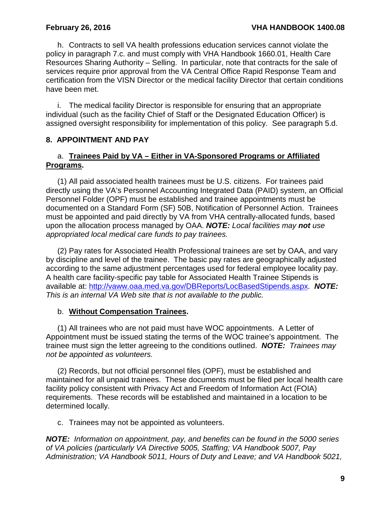h. Contracts to sell VA health professions education services cannot violate the policy in paragraph 7.c. and must comply with VHA Handbook 1660.01, Health Care Resources Sharing Authority – Selling. In particular, note that contracts for the sale of services require prior approval from the VA Central Office Rapid Response Team and certification from the VISN Director or the medical facility Director that certain conditions have been met.

i. The medical facility Director is responsible for ensuring that an appropriate individual (such as the facility Chief of Staff or the Designated Education Officer) is assigned oversight responsibility for implementation of this policy. See paragraph 5.d.

#### <span id="page-10-0"></span>**8. APPOINTMENT AND PAY**

## a. **Trainees Paid by VA – Either in VA-Sponsored Programs or Affiliated Programs.**

(1) All paid associated health trainees must be U.S. citizens. For trainees paid directly using the VA's Personnel Accounting Integrated Data (PAID) system, an Official Personnel Folder (OPF) must be established and trainee appointments must be documented on a Standard Form (SF) 50B, Notification of Personnel Action. Trainees must be appointed and paid directly by VA from VHA centrally-allocated funds, based upon the allocation process managed by OAA. *NOTE: Local facilities may not use appropriated local medical care funds to pay trainees.*

(2) Pay rates for Associated Health Professional trainees are set by OAA, and vary by discipline and level of the trainee. The basic pay rates are geographically adjusted according to the same adjustment percentages used for federal employee locality pay. A health care facility-specific pay table for Associated Health Trainee Stipends is available at: [http://vaww.oaa.med.va.gov/DBReports/LocBasedStipends.aspx.](http://vaww.oaa.med.va.gov/DBReports/LocBasedStipends.aspx) *NOTE: This is an internal VA Web site that is not available to the public.*

#### b. **Without Compensation Trainees.**

(1) All trainees who are not paid must have WOC appointments. A Letter of Appointment must be issued stating the terms of the WOC trainee's appointment. The trainee must sign the letter agreeing to the conditions outlined. *NOTE: Trainees may not be appointed as volunteers.*

(2) Records, but not official personnel files (OPF), must be established and maintained for all unpaid trainees. These documents must be filed per local health care facility policy consistent with Privacy Act and Freedom of Information Act (FOIA) requirements. These records will be established and maintained in a location to be determined locally.

c. Trainees may not be appointed as volunteers.

*NOTE: Information on appointment, pay, and benefits can be found in the 5000 series of VA policies (particularly VA Directive 5005, Staffing; VA Handbook 5007, Pay Administration; VA Handbook 5011, Hours of Duty and Leave; and VA Handbook 5021,*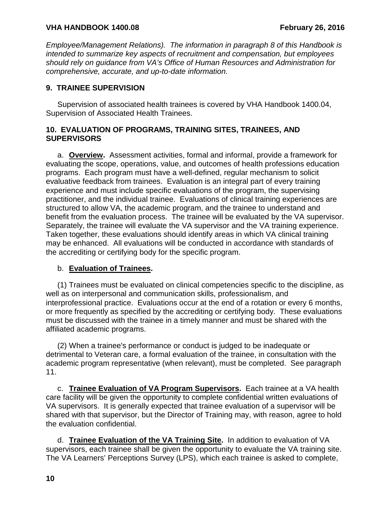*Employee/Management Relations). The information in paragraph 8 of this Handbook is intended to summarize key aspects of recruitment and compensation, but employees should rely on guidance from VA's Office of Human Resources and Administration for comprehensive, accurate, and up-to-date information.*

## <span id="page-11-0"></span>**9. TRAINEE SUPERVISION**

Supervision of associated health trainees is covered by VHA Handbook 1400.04, Supervision of Associated Health Trainees.

## <span id="page-11-1"></span>**10. EVALUATION OF PROGRAMS, TRAINING SITES, TRAINEES, AND SUPERVISORS**

a. **Overview.** Assessment activities, formal and informal, provide a framework for evaluating the scope, operations, value, and outcomes of health professions education programs. Each program must have a well-defined, regular mechanism to solicit evaluative feedback from trainees. Evaluation is an integral part of every training experience and must include specific evaluations of the program, the supervising practitioner, and the individual trainee. Evaluations of clinical training experiences are structured to allow VA, the academic program, and the trainee to understand and benefit from the evaluation process. The trainee will be evaluated by the VA supervisor. Separately, the trainee will evaluate the VA supervisor and the VA training experience. Taken together, these evaluations should identify areas in which VA clinical training may be enhanced. All evaluations will be conducted in accordance with standards of the accrediting or certifying body for the specific program.

## b. **Evaluation of Trainees.**

(1) Trainees must be evaluated on clinical competencies specific to the discipline, as well as on interpersonal and communication skills, professionalism, and interprofessional practice. Evaluations occur at the end of a rotation or every 6 months, or more frequently as specified by the accrediting or certifying body. These evaluations must be discussed with the trainee in a timely manner and must be shared with the affiliated academic programs.

(2) When a trainee's performance or conduct is judged to be inadequate or detrimental to Veteran care, a formal evaluation of the trainee, in consultation with the academic program representative (when relevant), must be completed. See paragraph 11.

c. **Trainee Evaluation of VA Program Supervisors.** Each trainee at a VA health care facility will be given the opportunity to complete confidential written evaluations of VA supervisors. It is generally expected that trainee evaluation of a supervisor will be shared with that supervisor, but the Director of Training may, with reason, agree to hold the evaluation confidential.

d. **Trainee Evaluation of the VA Training Site.** In addition to evaluation of VA supervisors, each trainee shall be given the opportunity to evaluate the VA training site. The VA Learners' Perceptions Survey (LPS), which each trainee is asked to complete,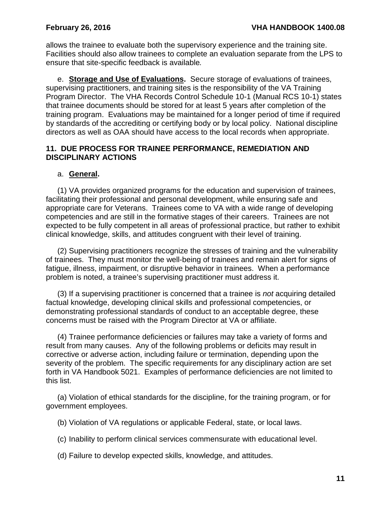allows the trainee to evaluate both the supervisory experience and the training site. Facilities should also allow trainees to complete an evaluation separate from the LPS to ensure that site-specific feedback is available*.* 

e. **Storage and Use of Evaluations.** Secure storage of evaluations of trainees, supervising practitioners, and training sites is the responsibility of the VA Training Program Director. The VHA Records Control Schedule 10-1 (Manual RCS 10-1) states that trainee documents should be stored for at least 5 years after completion of the training program. Evaluations may be maintained for a longer period of time if required by standards of the accrediting or certifying body or by local policy. National discipline directors as well as OAA should have access to the local records when appropriate.

### <span id="page-12-0"></span>**11. DUE PROCESS FOR TRAINEE PERFORMANCE, REMEDIATION AND DISCIPLINARY ACTIONS**

## a. **General.**

(1) VA provides organized programs for the education and supervision of trainees, facilitating their professional and personal development, while ensuring safe and appropriate care for Veterans. Trainees come to VA with a wide range of developing competencies and are still in the formative stages of their careers. Trainees are not expected to be fully competent in all areas of professional practice, but rather to exhibit clinical knowledge, skills, and attitudes congruent with their level of training.

(2) Supervising practitioners recognize the stresses of training and the vulnerability of trainees. They must monitor the well-being of trainees and remain alert for signs of fatigue, illness, impairment, or disruptive behavior in trainees. When a performance problem is noted, a trainee's supervising practitioner must address it.

(3) If a supervising practitioner is concerned that a trainee is *not* acquiring detailed factual knowledge, developing clinical skills and professional competencies, or demonstrating professional standards of conduct to an acceptable degree, these concerns must be raised with the Program Director at VA or affiliate.

(4) Trainee performance deficiencies or failures may take a variety of forms and result from many causes. Any of the following problems or deficits may result in corrective or adverse action, including failure or termination, depending upon the severity of the problem. The specific requirements for any disciplinary action are set forth in VA Handbook 5021. Examples of performance deficiencies are not limited to this list.

(a) Violation of ethical standards for the discipline, for the training program, or for government employees.

(b) Violation of VA regulations or applicable Federal, state, or local laws.

(c) Inability to perform clinical services commensurate with educational level.

(d) Failure to develop expected skills, knowledge, and attitudes.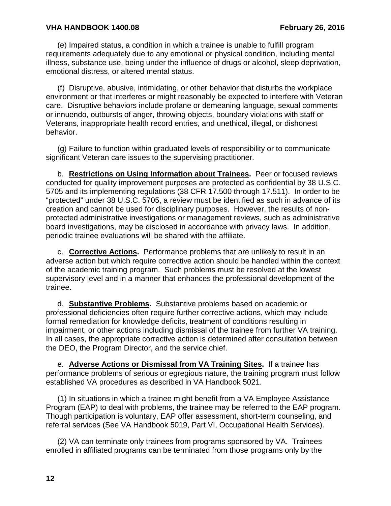(e) Impaired status, a condition in which a trainee is unable to fulfill program requirements adequately due to any emotional or physical condition, including mental illness, substance use, being under the influence of drugs or alcohol, sleep deprivation, emotional distress, or altered mental status.

(f) Disruptive, abusive, intimidating, or other behavior that disturbs the workplace environment or that interferes or might reasonably be expected to interfere with Veteran care. Disruptive behaviors include profane or demeaning language, sexual comments or innuendo, outbursts of anger, throwing objects, boundary violations with staff or Veterans, inappropriate health record entries, and unethical, illegal, or dishonest behavior.

(g) Failure to function within graduated levels of responsibility or to communicate significant Veteran care issues to the supervising practitioner.

b. **Restrictions on Using Information about Trainees.** Peer or focused reviews conducted for quality improvement purposes are protected as confidential by 38 U.S.C. 5705 and its implementing regulations (38 CFR 17.500 through 17.511). In order to be "protected" under 38 U.S.C. 5705, a review must be identified as such in advance of its creation and cannot be used for disciplinary purposes. However, the results of nonprotected administrative investigations or management reviews, such as administrative board investigations, may be disclosed in accordance with privacy laws. In addition, periodic trainee evaluations will be shared with the affiliate.

c. **Corrective Actions.** Performance problems that are unlikely to result in an adverse action but which require corrective action should be handled within the context of the academic training program. Such problems must be resolved at the lowest supervisory level and in a manner that enhances the professional development of the trainee.

d. **Substantive Problems.** Substantive problems based on academic or professional deficiencies often require further corrective actions, which may include formal remediation for knowledge deficits, treatment of conditions resulting in impairment, or other actions including dismissal of the trainee from further VA training. In all cases, the appropriate corrective action is determined after consultation between the DEO, the Program Director, and the service chief.

e. **Adverse Actions or Dismissal from VA Training Sites.** If a trainee has performance problems of serious or egregious nature, the training program must follow established VA procedures as described in VA Handbook 5021.

(1) In situations in which a trainee might benefit from a VA Employee Assistance Program (EAP) to deal with problems, the trainee may be referred to the EAP program. Though participation is voluntary, EAP offer assessment, short-term counseling, and referral services (See VA Handbook 5019, Part VI, Occupational Health Services).

(2) VA can terminate only trainees from programs sponsored by VA. Trainees enrolled in affiliated programs can be terminated from those programs only by the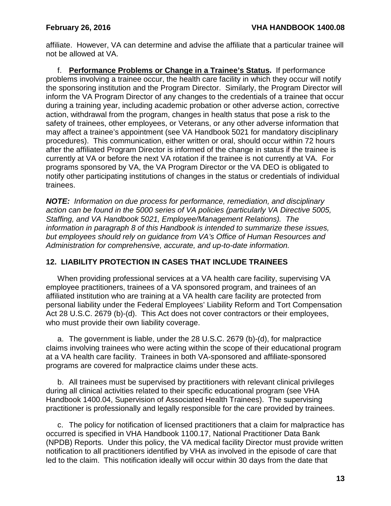affiliate. However, VA can determine and advise the affiliate that a particular trainee will not be allowed at VA.

f. **Performance Problems or Change in a Trainee's Status.** If performance problems involving a trainee occur, the health care facility in which they occur will notify the sponsoring institution and the Program Director. Similarly, the Program Director will inform the VA Program Director of any changes to the credentials of a trainee that occur during a training year, including academic probation or other adverse action, corrective action, withdrawal from the program, changes in health status that pose a risk to the safety of trainees, other employees, or Veterans, or any other adverse information that may affect a trainee's appointment (see VA Handbook 5021 for mandatory disciplinary procedures). This communication, either written or oral, should occur within 72 hours after the affiliated Program Director is informed of the change in status if the trainee is currently at VA or before the next VA rotation if the trainee is not currently at VA. For programs sponsored by VA, the VA Program Director or the VA DEO is obligated to notify other participating institutions of changes in the status or credentials of individual trainees.

*NOTE: Information on due process for performance, remediation, and disciplinary action can be found in the 5000 series of VA policies (particularly VA Directive 5005, Staffing, and VA Handbook 5021, Employee/Management Relations). The information in paragraph 8 of this Handbook is intended to summarize these issues, but employees should rely on guidance from VA's Office of Human Resources and Administration for comprehensive, accurate, and up-to-date information.*

## <span id="page-14-0"></span>**12. LIABILITY PROTECTION IN CASES THAT INCLUDE TRAINEES**

When providing professional services at a VA health care facility, supervising VA employee practitioners, trainees of a VA sponsored program, and trainees of an affiliated institution who are training at a VA health care facility are protected from personal liability under the Federal Employees' Liability Reform and Tort Compensation Act 28 U.S.C. 2679 (b)-(d). This Act does not cover contractors or their employees, who must provide their own liability coverage.

a. The government is liable, under the 28 U.S.C. 2679 (b)-(d), for malpractice claims involving trainees who were acting within the scope of their educational program at a VA health care facility. Trainees in both VA-sponsored and affiliate-sponsored programs are covered for malpractice claims under these acts.

b. All trainees must be supervised by practitioners with relevant clinical privileges during all clinical activities related to their specific educational program (see VHA Handbook 1400.04, Supervision of Associated Health Trainees). The supervising practitioner is professionally and legally responsible for the care provided by trainees.

c. The policy for notification of licensed practitioners that a claim for malpractice has occurred is specified in VHA Handbook 1100.17, National Practitioner Data Bank (NPDB) Reports. Under this policy, the VA medical facility Director must provide written notification to all practitioners identified by VHA as involved in the episode of care that led to the claim. This notification ideally will occur within 30 days from the date that